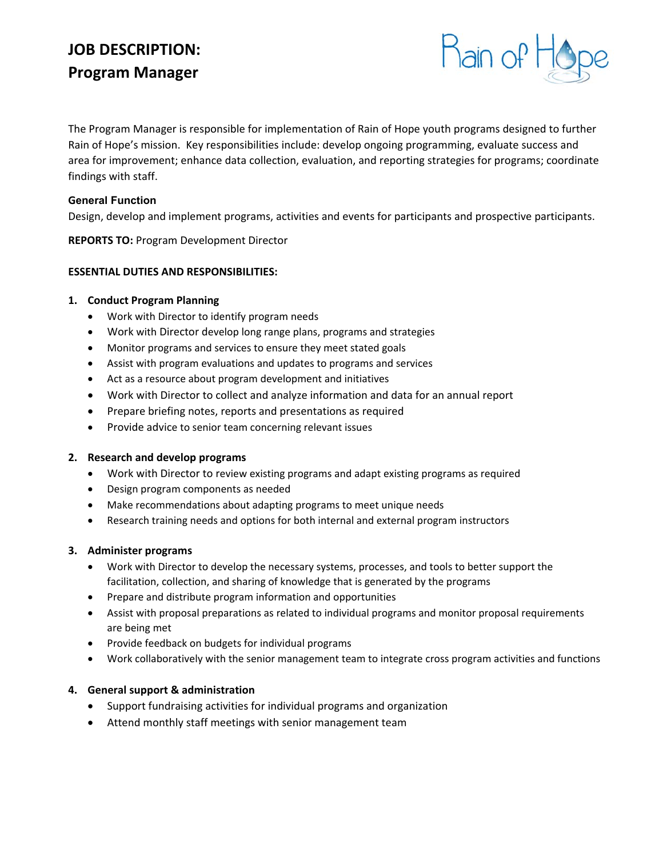# **JOB DESCRIPTION: Program Manager**



The Program Manager is responsible for implementation of Rain of Hope youth programs designed to further Rain of Hope's mission. Key responsibilities include: develop ongoing programming, evaluate success and area for improvement; enhance data collection, evaluation, and reporting strategies for programs; coordinate findings with staff.

## **General Function**

Design, develop and implement programs, activities and events for participants and prospective participants.

**REPORTS TO:** Program Development Director

### **ESSENTIAL DUTIES AND RESPONSIBILITIES:**

### **1. Conduct Program Planning**

- Work with Director to identify program needs
- Work with Director develop long range plans, programs and strategies
- Monitor programs and services to ensure they meet stated goals
- Assist with program evaluations and updates to programs and services
- Act as a resource about program development and initiatives
- Work with Director to collect and analyze information and data for an annual report
- Prepare briefing notes, reports and presentations as required
- Provide advice to senior team concerning relevant issues

#### **2. Research and develop programs**

- Work with Director to review existing programs and adapt existing programs as required
- Design program components as needed
- Make recommendations about adapting programs to meet unique needs
- Research training needs and options for both internal and external program instructors

#### **3. Administer programs**

- Work with Director to develop the necessary systems, processes, and tools to better support the facilitation, collection, and sharing of knowledge that is generated by the programs
- Prepare and distribute program information and opportunities
- Assist with proposal preparations as related to individual programs and monitor proposal requirements are being met
- Provide feedback on budgets for individual programs
- Work collaboratively with the senior management team to integrate cross program activities and functions

# **4. General support & administration**

- Support fundraising activities for individual programs and organization
- Attend monthly staff meetings with senior management team